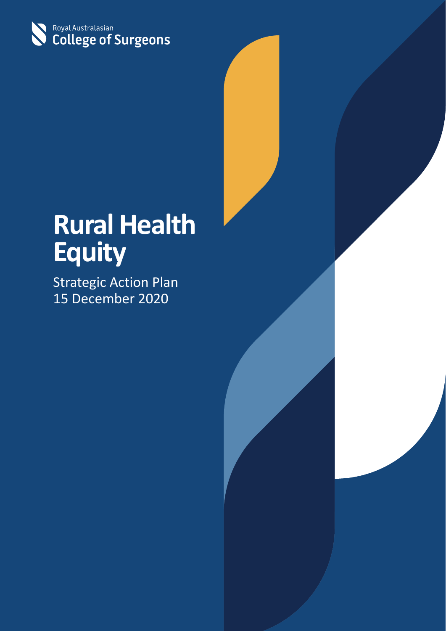

# **Rural Health Equity**

Strategic Action Plan 15 December 2020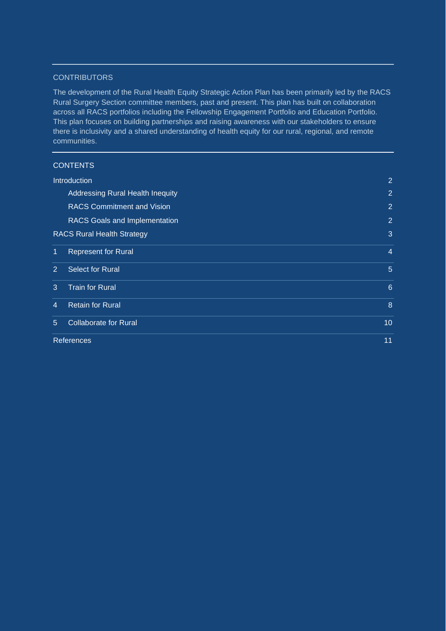#### **CONTRIBUTORS**

The development of the Rural Health Equity Strategic Action Plan has been primarily led by the RACS Rural Surgery Section committee members, past and present. This plan has built on collaboration across all RACS portfolios including the Fellowship Engagement Portfolio and Education Portfolio. This plan focuses on building partnerships and raising awareness with our stakeholders to ensure there is inclusivity and a shared understanding of health equity for our rural, regional, and remote communities.

| <b>CONTENTS</b> |  |  |
|-----------------|--|--|
|                 |  |  |

| <b>Introduction</b>                       | $\overline{2}$  |
|-------------------------------------------|-----------------|
| <b>Addressing Rural Health Inequity</b>   | $\overline{2}$  |
| <b>RACS Commitment and Vision</b>         | $\overline{2}$  |
| <b>RACS Goals and Implementation</b>      | $\overline{2}$  |
| <b>RACS Rural Health Strategy</b>         | 3               |
| <b>Represent for Rural</b><br>1           | $\overline{4}$  |
| <b>Select for Rural</b><br>$\overline{2}$ | 5               |
| <b>Train for Rural</b><br>3               | 6               |
| <b>Retain for Rural</b><br>4              | 8               |
| <b>Collaborate for Rural</b><br>5.        | 10 <sup>°</sup> |
| <b>References</b>                         | 11              |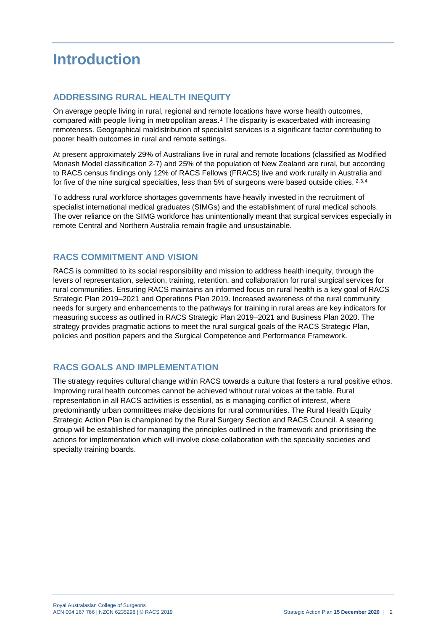### <span id="page-2-0"></span>**Introduction**

#### <span id="page-2-1"></span>**ADDRESSING RURAL HEALTH INEQUITY**

On average people living in rural, regional and remote locations have worse health outcomes, compared with people living in metropolitan areas.[1](#page-11-1) The disparity is exacerbated with increasing remoteness. Geographical maldistribution of specialist services is a significant factor contributing to poorer health outcomes in rural and remote settings.

At present approximately 29% of Australians live in rural and remote locations (classified as Modified Monash Model classification 2-7) and 25% of the population of New Zealand are rural, but according to RACS census findings only 12% of RACS Fellows (FRACS) live and work rurally in Australia and for five of the nine surgical specialties, less than 5% of surgeons were based outside cities. [2,](#page-11-2)[3,](#page-11-3)[4](#page-11-4)

To address rural workforce shortages governments have heavily invested in the recruitment of specialist international medical graduates (SIMGs) and the establishment of rural medical schools. The over reliance on the SIMG workforce has unintentionally meant that surgical services especially in remote Central and Northern Australia remain fragile and unsustainable.

#### <span id="page-2-2"></span>**RACS COMMITMENT AND VISION**

RACS is committed to its social responsibility and mission to address health inequity, through the levers of representation, selection, training, retention, and collaboration for rural surgical services for rural communities. Ensuring RACS maintains an informed focus on rural health is a key goal of RACS Strategic Plan 2019–2021 and Operations Plan 2019. Increased awareness of the rural community needs for surgery and enhancements to the pathways for training in rural areas are key indicators for measuring success as outlined in RACS Strategic Plan 2019–2021 and Business Plan 2020. The strategy provides pragmatic actions to meet the rural surgical goals of the RACS Strategic Plan, policies and position papers and the Surgical Competence and Performance Framework.

#### <span id="page-2-3"></span>**RACS GOALS AND IMPLEMENTATION**

The strategy requires cultural change within RACS towards a culture that fosters a rural positive ethos. Improving rural health outcomes cannot be achieved without rural voices at the table. Rural representation in all RACS activities is essential, as is managing conflict of interest, where predominantly urban committees make decisions for rural communities. The Rural Health Equity Strategic Action Plan is championed by the Rural Surgery Section and RACS Council. A steering group will be established for managing the principles outlined in the framework and prioritising the actions for implementation which will involve close collaboration with the speciality societies and specialty training boards.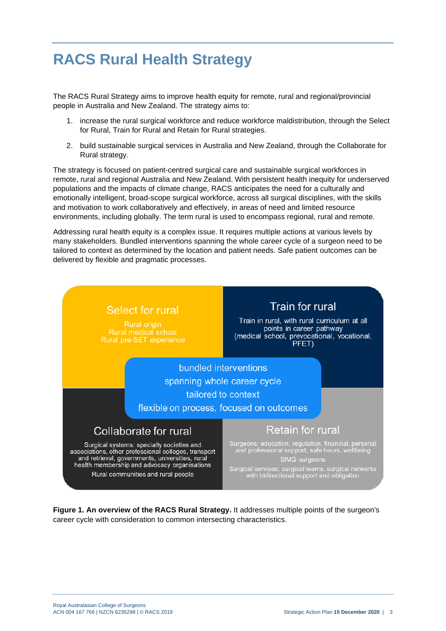### <span id="page-3-0"></span>**RACS Rural Health Strategy**

The RACS Rural Strategy aims to improve health equity for remote, rural and regional/provincial people in Australia and New Zealand. The strategy aims to:

- 1. increase the rural surgical workforce and reduce workforce maldistribution, through the Select for Rural, Train for Rural and Retain for Rural strategies.
- 2. build sustainable surgical services in Australia and New Zealand, through the Collaborate for Rural strategy.

The strategy is focused on patient-centred surgical care and sustainable surgical workforces in remote, rural and regional Australia and New Zealand. With persistent health inequity for underserved populations and the impacts of climate change, RACS anticipates the need for a culturally and emotionally intelligent, broad-scope surgical workforce, across all surgical disciplines, with the skills and motivation to work collaboratively and effectively, in areas of need and limited resource environments, including globally. The term rural is used to encompass regional, rural and remote.

Addressing rural health equity is a complex issue. It requires multiple actions at various levels by many stakeholders. Bundled interventions spanning the whole career cycle of a surgeon need to be tailored to context as determined by the location and patient needs. Safe patient outcomes can be delivered by flexible and pragmatic processes.



**Figure 1. An overview of the RACS Rural Strategy.** It addresses multiple points of the surgeon's career cycle with consideration to common intersecting characteristics.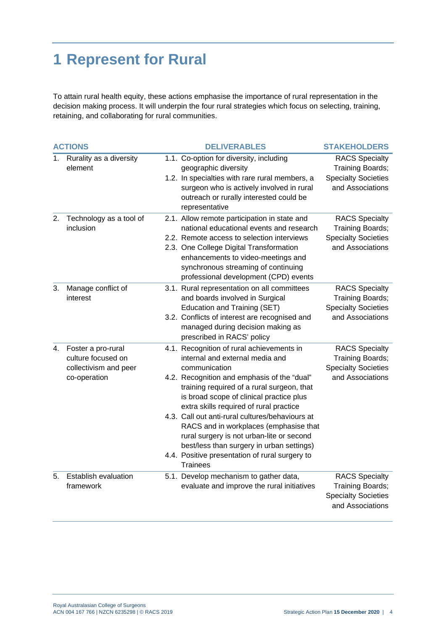## <span id="page-4-0"></span>**1 Represent for Rural**

To attain rural health equity, these actions emphasise the importance of rural representation in the decision making process. It will underpin the four rural strategies which focus on selecting, training, retaining, and collaborating for rural communities.

| <b>ACTIONS</b> |                                                                                   | <b>DELIVERABLES</b>                                                                                                                                                                                                                                                                                                                                                                                                                                                                                                                           | <b>STAKEHOLDERS</b>                                                                         |
|----------------|-----------------------------------------------------------------------------------|-----------------------------------------------------------------------------------------------------------------------------------------------------------------------------------------------------------------------------------------------------------------------------------------------------------------------------------------------------------------------------------------------------------------------------------------------------------------------------------------------------------------------------------------------|---------------------------------------------------------------------------------------------|
| 1.             | Rurality as a diversity<br>element                                                | 1.1. Co-option for diversity, including<br>geographic diversity<br>1.2. In specialties with rare rural members, a<br>surgeon who is actively involved in rural<br>outreach or rurally interested could be<br>representative                                                                                                                                                                                                                                                                                                                   | <b>RACS Specialty</b><br>Training Boards;<br><b>Specialty Societies</b><br>and Associations |
| 2.             | Technology as a tool of<br>inclusion                                              | 2.1. Allow remote participation in state and<br>national educational events and research<br>2.2. Remote access to selection interviews<br>2.3. One College Digital Transformation<br>enhancements to video-meetings and<br>synchronous streaming of continuing<br>professional development (CPD) events                                                                                                                                                                                                                                       | <b>RACS Specialty</b><br>Training Boards;<br><b>Specialty Societies</b><br>and Associations |
| 3.             | Manage conflict of<br>interest                                                    | 3.1. Rural representation on all committees<br>and boards involved in Surgical<br>Education and Training (SET)<br>3.2. Conflicts of interest are recognised and<br>managed during decision making as<br>prescribed in RACS' policy                                                                                                                                                                                                                                                                                                            | <b>RACS Specialty</b><br>Training Boards;<br><b>Specialty Societies</b><br>and Associations |
| 4.             | Foster a pro-rural<br>culture focused on<br>collectivism and peer<br>co-operation | 4.1. Recognition of rural achievements in<br>internal and external media and<br>communication<br>4.2. Recognition and emphasis of the "dual"<br>training required of a rural surgeon, that<br>is broad scope of clinical practice plus<br>extra skills required of rural practice<br>4.3. Call out anti-rural cultures/behaviours at<br>RACS and in workplaces (emphasise that<br>rural surgery is not urban-lite or second<br>best/less than surgery in urban settings)<br>4.4. Positive presentation of rural surgery to<br><b>Trainees</b> | <b>RACS Specialty</b><br>Training Boards;<br><b>Specialty Societies</b><br>and Associations |
| 5.             | Establish evaluation<br>framework                                                 | 5.1. Develop mechanism to gather data,<br>evaluate and improve the rural initiatives                                                                                                                                                                                                                                                                                                                                                                                                                                                          | <b>RACS Specialty</b><br>Training Boards;<br><b>Specialty Societies</b><br>and Associations |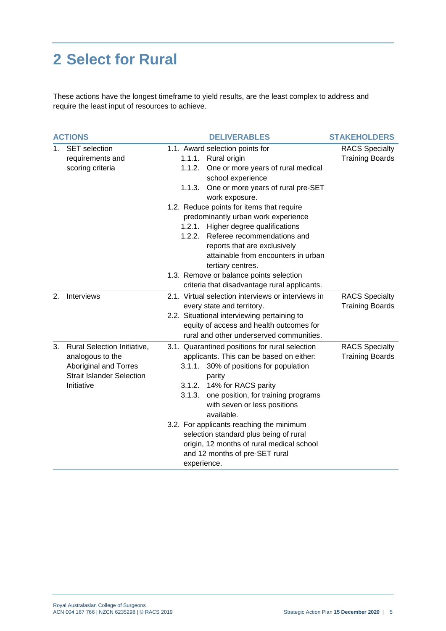### <span id="page-5-0"></span>**2 Select for Rural**

These actions have the longest timeframe to yield results, are the least complex to address and require the least input of resources to achieve.

|    | <b>ACTIONS</b>                                                                                                             | <b>DELIVERABLES</b>                                                                                                                                                                                                                                                                                                                                                                                                                                                                                                                                   | <b>STAKEHOLDERS</b>                             |
|----|----------------------------------------------------------------------------------------------------------------------------|-------------------------------------------------------------------------------------------------------------------------------------------------------------------------------------------------------------------------------------------------------------------------------------------------------------------------------------------------------------------------------------------------------------------------------------------------------------------------------------------------------------------------------------------------------|-------------------------------------------------|
| 1. | <b>SET</b> selection<br>requirements and<br>scoring criteria                                                               | 1.1. Award selection points for<br>1.1.1. Rural origin<br>One or more years of rural medical<br>1.1.2.<br>school experience<br>1.1.3. One or more years of rural pre-SET<br>work exposure.<br>1.2. Reduce points for items that require<br>predominantly urban work experience<br>1.2.1. Higher degree qualifications<br>Referee recommendations and<br>1.2.2.<br>reports that are exclusively<br>attainable from encounters in urban<br>tertiary centres.<br>1.3. Remove or balance points selection<br>criteria that disadvantage rural applicants. | <b>RACS Specialty</b><br><b>Training Boards</b> |
| 2. | Interviews                                                                                                                 | 2.1. Virtual selection interviews or interviews in<br>every state and territory.<br>2.2. Situational interviewing pertaining to<br>equity of access and health outcomes for<br>rural and other underserved communities.                                                                                                                                                                                                                                                                                                                               | <b>RACS Specialty</b><br><b>Training Boards</b> |
| 3. | Rural Selection Initiative,<br>analogous to the<br>Aboriginal and Torres<br><b>Strait Islander Selection</b><br>Initiative | 3.1. Quarantined positions for rural selection<br>applicants. This can be based on either:<br>30% of positions for population<br>3.1.1.<br>parity<br>3.1.2. 14% for RACS parity<br>one position, for training programs<br>3.1.3.<br>with seven or less positions<br>available.<br>3.2. For applicants reaching the minimum<br>selection standard plus being of rural<br>origin, 12 months of rural medical school<br>and 12 months of pre-SET rural<br>experience.                                                                                    | <b>RACS Specialty</b><br><b>Training Boards</b> |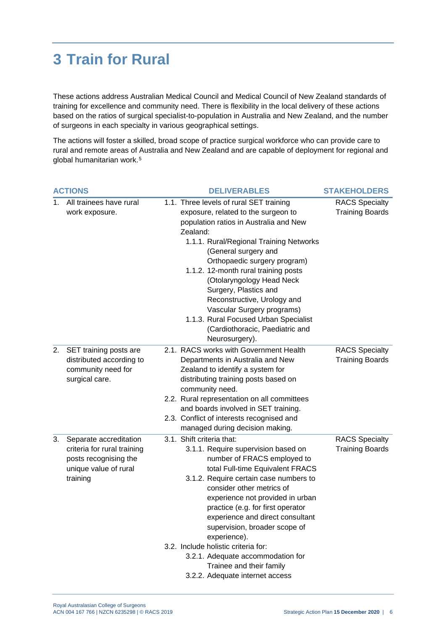### <span id="page-6-0"></span>**3 Train for Rural**

These actions address Australian Medical Council and Medical Council of New Zealand standards of training for excellence and community need. There is flexibility in the local delivery of these actions based on the ratios of surgical specialist-to-population in Australia and New Zealand, and the number of surgeons in each specialty in various geographical settings.

The actions will foster a skilled, broad scope of practice surgical workforce who can provide care to rural and remote areas of Australia and New Zealand and are capable of deployment for regional and global humanitarian work.[5](#page-11-5)

| <b>ACTIONS</b> |                                                                                                                     | <b>DELIVERABLES</b>                                                                                                                                                                                                                                                                                                                                                                                                                                                                                                 | <b>STAKEHOLDERS</b>                             |
|----------------|---------------------------------------------------------------------------------------------------------------------|---------------------------------------------------------------------------------------------------------------------------------------------------------------------------------------------------------------------------------------------------------------------------------------------------------------------------------------------------------------------------------------------------------------------------------------------------------------------------------------------------------------------|-------------------------------------------------|
| 1.             | All trainees have rural<br>work exposure.                                                                           | 1.1. Three levels of rural SET training<br>exposure, related to the surgeon to<br>population ratios in Australia and New<br>Zealand:<br>1.1.1. Rural/Regional Training Networks<br>(General surgery and<br>Orthopaedic surgery program)<br>1.1.2. 12-month rural training posts<br>(Otolaryngology Head Neck<br>Surgery, Plastics and<br>Reconstructive, Urology and<br>Vascular Surgery programs)<br>1.1.3. Rural Focused Urban Specialist<br>(Cardiothoracic, Paediatric and<br>Neurosurgery).                    | <b>RACS Specialty</b><br><b>Training Boards</b> |
| 2.             | SET training posts are<br>distributed according to<br>community need for<br>surgical care.                          | 2.1. RACS works with Government Health<br>Departments in Australia and New<br>Zealand to identify a system for<br>distributing training posts based on<br>community need.<br>2.2. Rural representation on all committees<br>and boards involved in SET training.<br>2.3. Conflict of interests recognised and<br>managed during decision making.                                                                                                                                                                    | <b>RACS Specialty</b><br><b>Training Boards</b> |
| 3.             | Separate accreditation<br>criteria for rural training<br>posts recognising the<br>unique value of rural<br>training | 3.1. Shift criteria that:<br>3.1.1. Require supervision based on<br>number of FRACS employed to<br>total Full-time Equivalent FRACS<br>3.1.2. Require certain case numbers to<br>consider other metrics of<br>experience not provided in urban<br>practice (e.g. for first operator<br>experience and direct consultant<br>supervision, broader scope of<br>experience).<br>3.2. Include holistic criteria for:<br>3.2.1. Adequate accommodation for<br>Trainee and their family<br>3.2.2. Adequate internet access | <b>RACS Specialty</b><br><b>Training Boards</b> |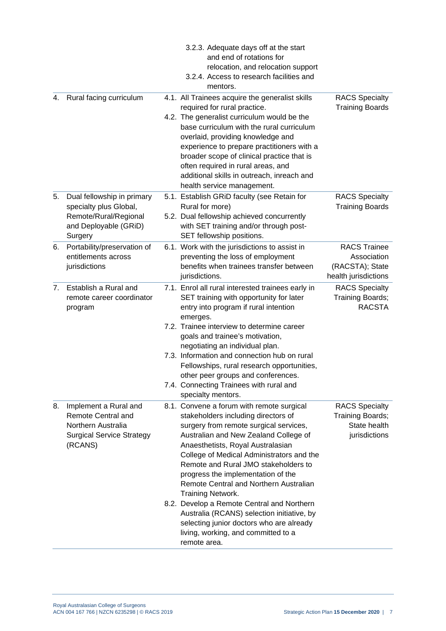|    |                                                                                                                         | 3.2.3. Adequate days off at the start<br>and end of rotations for<br>relocation, and relocation support<br>3.2.4. Access to research facilities and<br>mentors.                                                                                                                                                                                                                                                                                                                                                                                                                                   |                                                                               |
|----|-------------------------------------------------------------------------------------------------------------------------|---------------------------------------------------------------------------------------------------------------------------------------------------------------------------------------------------------------------------------------------------------------------------------------------------------------------------------------------------------------------------------------------------------------------------------------------------------------------------------------------------------------------------------------------------------------------------------------------------|-------------------------------------------------------------------------------|
| 4. | Rural facing curriculum                                                                                                 | 4.1. All Trainees acquire the generalist skills<br>required for rural practice.<br>4.2. The generalist curriculum would be the<br>base curriculum with the rural curriculum<br>overlaid, providing knowledge and<br>experience to prepare practitioners with a<br>broader scope of clinical practice that is<br>often required in rural areas, and<br>additional skills in outreach, inreach and<br>health service management.                                                                                                                                                                    | <b>RACS Specialty</b><br><b>Training Boards</b>                               |
| 5. | Dual fellowship in primary<br>specialty plus Global,<br>Remote/Rural/Regional<br>and Deployable (GRiD)<br>Surgery       | 5.1. Establish GRiD faculty (see Retain for<br>Rural for more)<br>5.2. Dual fellowship achieved concurrently<br>with SET training and/or through post-<br>SET fellowship positions.                                                                                                                                                                                                                                                                                                                                                                                                               | <b>RACS Specialty</b><br><b>Training Boards</b>                               |
| 6. | Portability/preservation of<br>entitlements across<br>jurisdictions                                                     | 6.1. Work with the jurisdictions to assist in<br>preventing the loss of employment<br>benefits when trainees transfer between<br>jurisdictions.                                                                                                                                                                                                                                                                                                                                                                                                                                                   | <b>RACS Trainee</b><br>Association<br>(RACSTA); State<br>health jurisdictions |
| 7. | Establish a Rural and<br>remote career coordinator<br>program                                                           | 7.1. Enrol all rural interested trainees early in<br>SET training with opportunity for later<br>entry into program if rural intention<br>emerges.<br>7.2. Trainee interview to determine career<br>goals and trainee's motivation,<br>negotiating an individual plan.<br>7.3. Information and connection hub on rural<br>Fellowships, rural research opportunities,<br>other peer groups and conferences.<br>7.4. Connecting Trainees with rural and<br>specialty mentors.                                                                                                                        | <b>RACS Specialty</b><br>Training Boards;<br><b>RACSTA</b>                    |
| 8. | Implement a Rural and<br><b>Remote Central and</b><br>Northern Australia<br><b>Surgical Service Strategy</b><br>(RCANS) | 8.1. Convene a forum with remote surgical<br>stakeholders including directors of<br>surgery from remote surgical services,<br>Australian and New Zealand College of<br>Anaesthetists, Royal Australasian<br>College of Medical Administrators and the<br>Remote and Rural JMO stakeholders to<br>progress the implementation of the<br>Remote Central and Northern Australian<br>Training Network.<br>8.2. Develop a Remote Central and Northern<br>Australia (RCANS) selection initiative, by<br>selecting junior doctors who are already<br>living, working, and committed to a<br>remote area. | <b>RACS Specialty</b><br>Training Boards;<br>State health<br>jurisdictions    |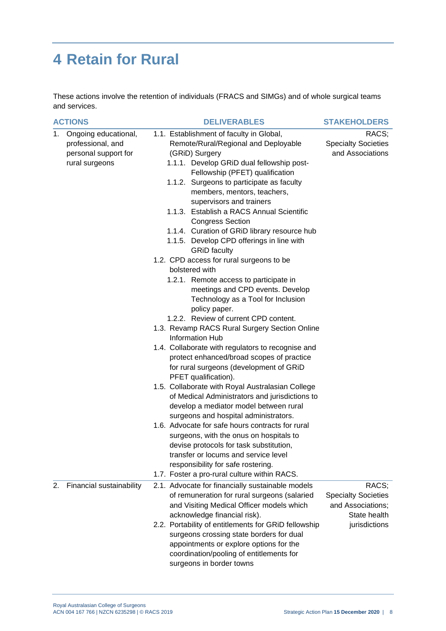## <span id="page-8-0"></span>**4 Retain for Rural**

These actions involve the retention of individuals (FRACS and SIMGs) and of whole surgical teams and services.

| <b>ACTIONS</b> |                          | <b>DELIVERABLES</b>                                              | <b>STAKEHOLDERS</b>        |  |
|----------------|--------------------------|------------------------------------------------------------------|----------------------------|--|
| 1.             | Ongoing educational,     | 1.1. Establishment of faculty in Global,                         | RACS;                      |  |
|                | professional, and        | Remote/Rural/Regional and Deployable                             | <b>Specialty Societies</b> |  |
|                | personal support for     | (GRID) Surgery                                                   | and Associations           |  |
|                | rural surgeons           | 1.1.1. Develop GRiD dual fellowship post-                        |                            |  |
|                |                          | Fellowship (PFET) qualification                                  |                            |  |
|                |                          | 1.1.2. Surgeons to participate as faculty                        |                            |  |
|                |                          | members, mentors, teachers,                                      |                            |  |
|                |                          | supervisors and trainers                                         |                            |  |
|                |                          | 1.1.3. Establish a RACS Annual Scientific                        |                            |  |
|                |                          | <b>Congress Section</b>                                          |                            |  |
|                |                          | 1.1.4. Curation of GRID library resource hub                     |                            |  |
|                |                          | 1.1.5. Develop CPD offerings in line with<br><b>GRID</b> faculty |                            |  |
|                |                          | 1.2. CPD access for rural surgeons to be                         |                            |  |
|                |                          | bolstered with                                                   |                            |  |
|                |                          | 1.2.1. Remote access to participate in                           |                            |  |
|                |                          | meetings and CPD events. Develop                                 |                            |  |
|                |                          | Technology as a Tool for Inclusion                               |                            |  |
|                |                          | policy paper.                                                    |                            |  |
|                |                          | 1.2.2. Review of current CPD content.                            |                            |  |
|                |                          | 1.3. Revamp RACS Rural Surgery Section Online                    |                            |  |
|                |                          | <b>Information Hub</b>                                           |                            |  |
|                |                          | 1.4. Collaborate with regulators to recognise and                |                            |  |
|                |                          | protect enhanced/broad scopes of practice                        |                            |  |
|                |                          | for rural surgeons (development of GRID                          |                            |  |
|                |                          | PFET qualification).                                             |                            |  |
|                |                          | 1.5. Collaborate with Royal Australasian College                 |                            |  |
|                |                          | of Medical Administrators and jurisdictions to                   |                            |  |
|                |                          | develop a mediator model between rural                           |                            |  |
|                |                          | surgeons and hospital administrators.                            |                            |  |
|                |                          | 1.6. Advocate for safe hours contracts for rural                 |                            |  |
|                |                          | surgeons, with the onus on hospitals to                          |                            |  |
|                |                          | devise protocols for task substitution,                          |                            |  |
|                |                          | transfer or locums and service level                             |                            |  |
|                |                          | responsibility for safe rostering.                               |                            |  |
|                |                          | 1.7. Foster a pro-rural culture within RACS.                     |                            |  |
| 2.             | Financial sustainability | 2.1. Advocate for financially sustainable models                 | RACS;                      |  |
|                |                          | of remuneration for rural surgeons (salaried                     | <b>Specialty Societies</b> |  |
|                |                          | and Visiting Medical Officer models which                        | and Associations;          |  |
|                |                          | acknowledge financial risk).                                     | State health               |  |
|                |                          | 2.2. Portability of entitlements for GRiD fellowship             | jurisdictions              |  |
|                |                          | surgeons crossing state borders for dual                         |                            |  |
|                |                          | appointments or explore options for the                          |                            |  |
|                |                          | coordination/pooling of entitlements for                         |                            |  |
|                |                          | surgeons in border towns                                         |                            |  |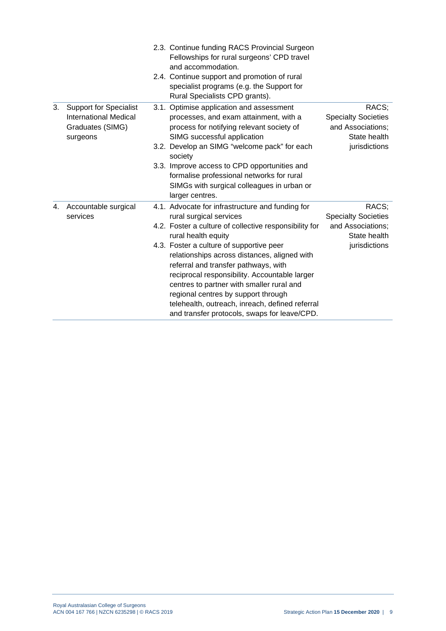|    |                                                                                               | 2.3. Continue funding RACS Provincial Surgeon<br>Fellowships for rural surgeons' CPD travel<br>and accommodation.<br>2.4. Continue support and promotion of rural<br>specialist programs (e.g. the Support for<br>Rural Specialists CPD grants).                                                                                                                         |                                                                                           |
|----|-----------------------------------------------------------------------------------------------|--------------------------------------------------------------------------------------------------------------------------------------------------------------------------------------------------------------------------------------------------------------------------------------------------------------------------------------------------------------------------|-------------------------------------------------------------------------------------------|
| 3. | <b>Support for Specialist</b><br><b>International Medical</b><br>Graduates (SIMG)<br>surgeons | 3.1. Optimise application and assessment<br>processes, and exam attainment, with a<br>process for notifying relevant society of<br>SIMG successful application<br>3.2. Develop an SIMG "welcome pack" for each<br>society<br>3.3. Improve access to CPD opportunities and<br>formalise professional networks for rural                                                   | RACS;<br><b>Specialty Societies</b><br>and Associations;<br>State health<br>jurisdictions |
|    |                                                                                               | SIMGs with surgical colleagues in urban or<br>larger centres.                                                                                                                                                                                                                                                                                                            |                                                                                           |
| 4. | Accountable surgical<br>services                                                              | 4.1. Advocate for infrastructure and funding for<br>rural surgical services                                                                                                                                                                                                                                                                                              | RACS;<br><b>Specialty Societies</b>                                                       |
|    |                                                                                               | 4.2. Foster a culture of collective responsibility for<br>rural health equity                                                                                                                                                                                                                                                                                            | and Associations;<br>State health                                                         |
|    |                                                                                               | 4.3. Foster a culture of supportive peer<br>relationships across distances, aligned with<br>referral and transfer pathways, with<br>reciprocal responsibility. Accountable larger<br>centres to partner with smaller rural and<br>regional centres by support through<br>telehealth, outreach, inreach, defined referral<br>and transfer protocols, swaps for leave/CPD. | jurisdictions                                                                             |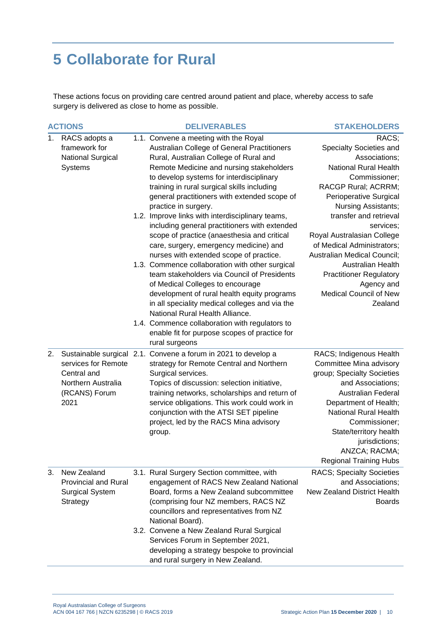### <span id="page-10-0"></span>**5 Collaborate for Rural**

These actions focus on providing care centred around patient and place, whereby access to safe surgery is delivered as close to home as possible.

| <b>ACTIONS</b> |                                | <b>DELIVERABLES</b>                                                                  | <b>STAKEHOLDERS</b>                |  |
|----------------|--------------------------------|--------------------------------------------------------------------------------------|------------------------------------|--|
| 1.             | RACS adopts a<br>framework for | 1.1. Convene a meeting with the Royal<br>Australian College of General Practitioners | RACS;<br>Specialty Societies and   |  |
|                | <b>National Surgical</b>       | Rural, Australian College of Rural and                                               | Associations;                      |  |
|                | <b>Systems</b>                 | Remote Medicine and nursing stakeholders                                             | <b>National Rural Health</b>       |  |
|                |                                | to develop systems for interdisciplinary                                             | Commissioner;                      |  |
|                |                                | training in rural surgical skills including                                          | RACGP Rural; ACRRM;                |  |
|                |                                | general practitioners with extended scope of                                         | Perioperative Surgical             |  |
|                |                                | practice in surgery.                                                                 | Nursing Assistants;                |  |
|                |                                | 1.2. Improve links with interdisciplinary teams,                                     | transfer and retrieval             |  |
|                |                                | including general practitioners with extended                                        | services;                          |  |
|                |                                | scope of practice (anaesthesia and critical                                          | Royal Australasian College         |  |
|                |                                | care, surgery, emergency medicine) and                                               | of Medical Administrators;         |  |
|                |                                | nurses with extended scope of practice.                                              | Australian Medical Council;        |  |
|                |                                | 1.3. Commence collaboration with other surgical                                      | <b>Australian Health</b>           |  |
|                |                                | team stakeholders via Council of Presidents                                          | <b>Practitioner Regulatory</b>     |  |
|                |                                | of Medical Colleges to encourage                                                     | Agency and                         |  |
|                |                                | development of rural health equity programs                                          | <b>Medical Council of New</b>      |  |
|                |                                | in all speciality medical colleges and via the                                       | Zealand                            |  |
|                |                                | National Rural Health Alliance.                                                      |                                    |  |
|                |                                | 1.4. Commence collaboration with regulators to                                       |                                    |  |
|                |                                | enable fit for purpose scopes of practice for                                        |                                    |  |
|                |                                | rural surgeons                                                                       |                                    |  |
| 2.             |                                | Sustainable surgical 2.1. Convene a forum in 2021 to develop a                       | RACS; Indigenous Health            |  |
|                | services for Remote            | strategy for Remote Central and Northern                                             | Committee Mina advisory            |  |
|                | Central and                    | Surgical services.                                                                   | group; Specialty Societies         |  |
|                | Northern Australia             | Topics of discussion: selection initiative,                                          | and Associations;                  |  |
|                | (RCANS) Forum                  | training networks, scholarships and return of                                        | Australian Federal                 |  |
|                | 2021                           | service obligations. This work could work in                                         | Department of Health;              |  |
|                |                                | conjunction with the ATSI SET pipeline                                               | <b>National Rural Health</b>       |  |
|                |                                | project, led by the RACS Mina advisory                                               | Commissioner;                      |  |
|                |                                | group.                                                                               | State/territory health             |  |
|                |                                |                                                                                      | jurisdictions;                     |  |
|                |                                |                                                                                      | ANZCA; RACMA;                      |  |
|                |                                |                                                                                      | <b>Regional Training Hubs</b>      |  |
| 3.             | New Zealand                    | 3.1. Rural Surgery Section committee, with                                           | <b>RACS; Specialty Societies</b>   |  |
|                | <b>Provincial and Rural</b>    | engagement of RACS New Zealand National                                              | and Associations;                  |  |
|                | <b>Surgical System</b>         | Board, forms a New Zealand subcommittee                                              | <b>New Zealand District Health</b> |  |
|                | Strategy                       | (comprising four NZ members, RACS NZ                                                 | <b>Boards</b>                      |  |
|                |                                | councillors and representatives from NZ                                              |                                    |  |
|                |                                | National Board).                                                                     |                                    |  |
|                |                                | 3.2. Convene a New Zealand Rural Surgical<br>Services Forum in September 2021,       |                                    |  |
|                |                                | developing a strategy bespoke to provincial                                          |                                    |  |
|                |                                | and rural surgery in New Zealand.                                                    |                                    |  |